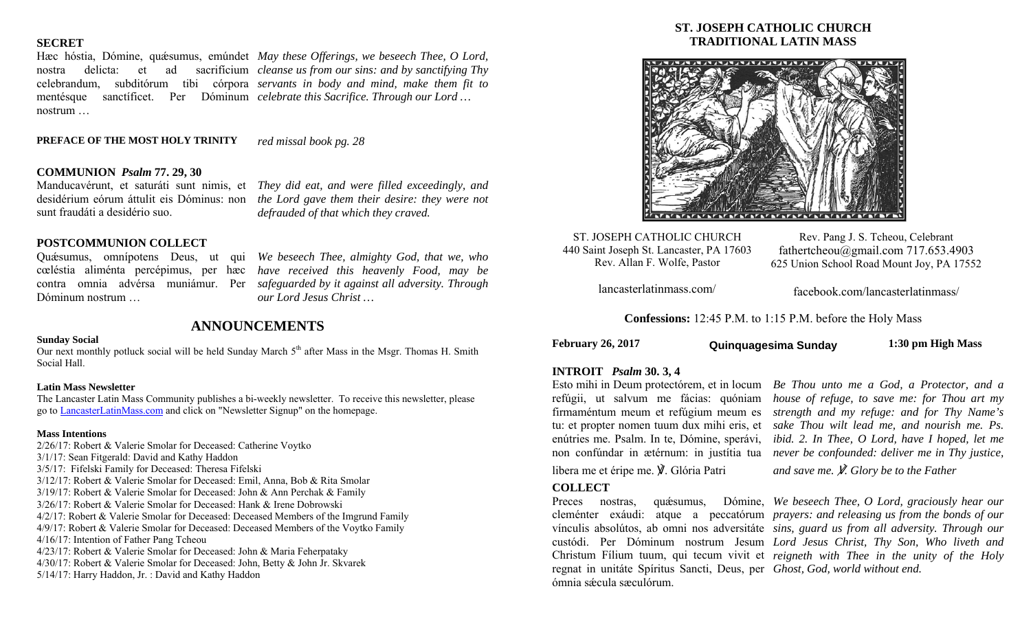## **SECRET**

nostrum …

Hæc hóstia, Dómine, quæsumus, emúndet *May these Offerings, we beseech Thee, O Lord,* nostra delicta: et ad sacrifícium *cleanse us from our sins: and by sanctifying Thy*  celebrandum, subditórum tibi córpora *servants in body and mind, make them fit to*  mentésque sanctíficet. Per Dóminum *celebrate this Sacrifice. Through our Lord …* 

#### **PREFACE OF THE MOST HOLY TRINITY** *red missal book pg. 28*

## **COMMUNION** *Psalm* **77. 29, 30**

Manducavérunt, et saturáti sunt nimis, et *They did eat, and were filled exceedingly, and*  sunt fraudáti a desidério suo.

desidérium eórum áttulit eis Dóminus: non *the Lord gave them their desire: they were not defrauded of that which they craved.* 

### **POSTCOMMUNION COLLECT**

Quǽsumus, omnípotens Deus, ut qui cœléstia aliménta percépimus, per hæc contra omnia advérsa muniámur. Per Dóminum nostrum …

*We beseech Thee, almighty God, that we, who have received this heavenly Food, may be safeguarded by it against all adversity. Through our Lord Jesus Christ …* 

#### **Sunday Social**

Our next monthly potluck social will be held Sunday March 5<sup>th</sup> after Mass in the Msgr. Thomas H. Smith Social Hall.

**ANNOUNCEMENTS** 

#### **Latin Mass Newsletter**

The Lancaster Latin Mass Community publishes a bi-weekly newsletter. To receive this newsletter, please go to LancasterLatinMass.com and click on "Newsletter Signup" on the homepage.

#### **Mass Intentions**

2/26/17: Robert & Valerie Smolar for Deceased: Catherine Voytko 3/1/17: Sean Fitgerald: David and Kathy Haddon 3/5/17: Fifelski Family for Deceased: Theresa Fifelski 3/12/17: Robert & Valerie Smolar for Deceased: Emil, Anna, Bob & Rita Smolar 3/19/17: Robert & Valerie Smolar for Deceased: John & Ann Perchak & Family 3/26/17: Robert & Valerie Smolar for Deceased: Hank & Irene Dobrowski 4/2/17: Robert & Valerie Smolar for Deceased: Deceased Members of the Imgrund Family 4/9/17: Robert & Valerie Smolar for Deceased: Deceased Members of the Voytko Family 4/16/17: Intention of Father Pang Tcheou 4/23/17: Robert & Valerie Smolar for Deceased: John & Maria Feherpataky 4/30/17: Robert & Valerie Smolar for Deceased: John, Betty & John Jr. Skvarek 5/14/17: Harry Haddon, Jr. : David and Kathy Haddon

## **ST. JOSEPH CATHOLIC CHURCH TRADITIONAL LATIN MASS**



ST. JOSEPH CATHOLIC CHURCH 440 Saint Joseph St. Lancaster, PA 17603 Rev. Allan F. Wolfe, Pastor

Rev. Pang J. S. Tcheou, Celebrant fathertcheou@gmail.com 717.653.4903 625 Union School Road Mount Joy, PA 17552

lancasterlatinmass.com/

facebook.com/lancasterlatinmass/

**Confessions:** 12:45 P.M. to 1:15 P.M. before the Holy Mass

**February 26, 2017 1:30 pm High Mass Quinquagesima Sunday**

#### **INTROIT** *Psalm* **30. 3, 4**

libera me et éripe me. ℣. Glória Patri

### **COLLECT**

regnat in unitáte Spíritus Sancti, Deus, per *Ghost, God, world without end.*  ómnia sǽcula sæculórum.

Esto mihi in Deum protectórem, et in locum *Be Thou unto me a God, a Protector, and a*  refúgii, ut salvum me fácias: quóniam *house of refuge, to save me: for Thou art my*  firmaméntum meum et refúgium meum es *strength and my refuge: and for Thy Name's*  tu: et propter nomen tuum dux mihi eris, et *sake Thou wilt lead me, and nourish me. Ps.*  enútries me. Psalm. In te, Dómine, sperávi, *ibid. 2. In Thee, O Lord, have I hoped, let me*  non confúndar in ætérnum: in justítia tua *never be confounded: deliver me in Thy justice,* 

*and save me.* ℣*. Glory be to the Father* 

Preces nostras, qu<del>ésumus, Dómine, We beseech Thee, O Lord, graciously hear our</del> cleménter exáudi: atque a peccatórum *prayers: and releasing us from the bonds of our*  vínculis absolútos, ab omni nos adversitáte *sins, guard us from all adversity. Through our*  custódi. Per Dóminum nostrum Jesum *Lord Jesus Christ, Thy Son, Who liveth and*  Christum Fílium tuum, qui tecum vivit et *reigneth with Thee in the unity of the Holy*